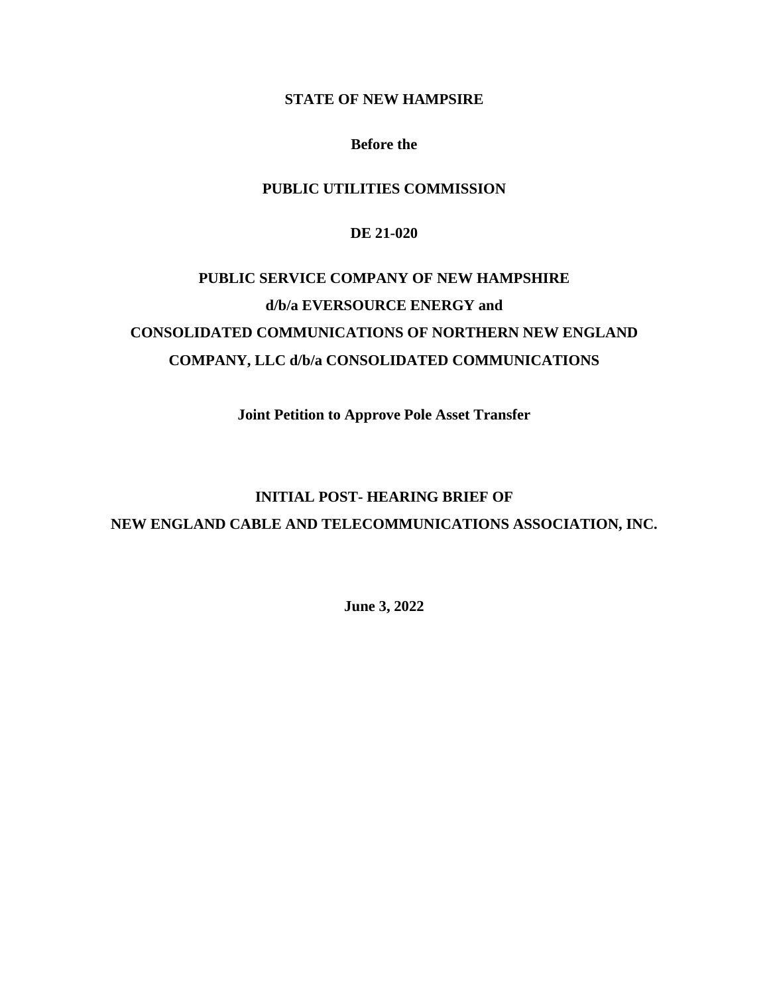### **STATE OF NEW HAMPSIRE**

#### **Before the**

# **PUBLIC UTILITIES COMMISSION**

#### **DE 21-020**

# **PUBLIC SERVICE COMPANY OF NEW HAMPSHIRE d/b/a EVERSOURCE ENERGY and CONSOLIDATED COMMUNICATIONS OF NORTHERN NEW ENGLAND COMPANY, LLC d/b/a CONSOLIDATED COMMUNICATIONS**

**Joint Petition to Approve Pole Asset Transfer**

# **INITIAL POST- HEARING BRIEF OF NEW ENGLAND CABLE AND TELECOMMUNICATIONS ASSOCIATION, INC.**

**June 3, 2022**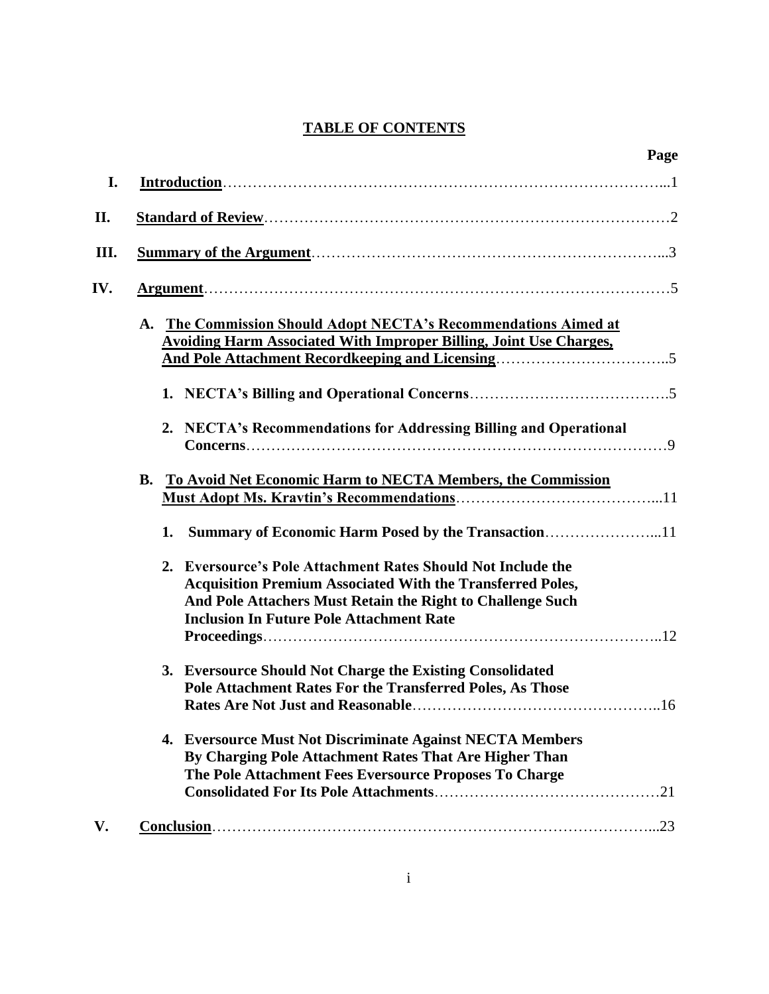# **TABLE OF CONTENTS**

|     | Page                                                                                                                                                                                                                                               |
|-----|----------------------------------------------------------------------------------------------------------------------------------------------------------------------------------------------------------------------------------------------------|
| I.  |                                                                                                                                                                                                                                                    |
| II. |                                                                                                                                                                                                                                                    |
| Ш.  |                                                                                                                                                                                                                                                    |
| IV. |                                                                                                                                                                                                                                                    |
|     | The Commission Should Adopt NECTA's Recommendations Aimed at<br>A.<br><b>Avoiding Harm Associated With Improper Billing, Joint Use Charges,</b>                                                                                                    |
|     |                                                                                                                                                                                                                                                    |
|     | 2. NECTA's Recommendations for Addressing Billing and Operational                                                                                                                                                                                  |
|     | B. To Avoid Net Economic Harm to NECTA Members, the Commission                                                                                                                                                                                     |
|     | Summary of Economic Harm Posed by the Transaction11<br>1.                                                                                                                                                                                          |
|     | 2. Eversource's Pole Attachment Rates Should Not Include the<br><b>Acquisition Premium Associated With the Transferred Poles,</b><br>And Pole Attachers Must Retain the Right to Challenge Such<br><b>Inclusion In Future Pole Attachment Rate</b> |
|     |                                                                                                                                                                                                                                                    |
|     | 3. Eversource Should Not Charge the Existing Consolidated<br><b>Pole Attachment Rates For the Transferred Poles, As Those</b><br>16<br><b>Rates Are Not Just and Reasonable.</b>                                                                   |
|     | 4. Eversource Must Not Discriminate Against NECTA Members<br>By Charging Pole Attachment Rates That Are Higher Than<br>The Pole Attachment Fees Eversource Proposes To Charge                                                                      |
|     |                                                                                                                                                                                                                                                    |
| V.  |                                                                                                                                                                                                                                                    |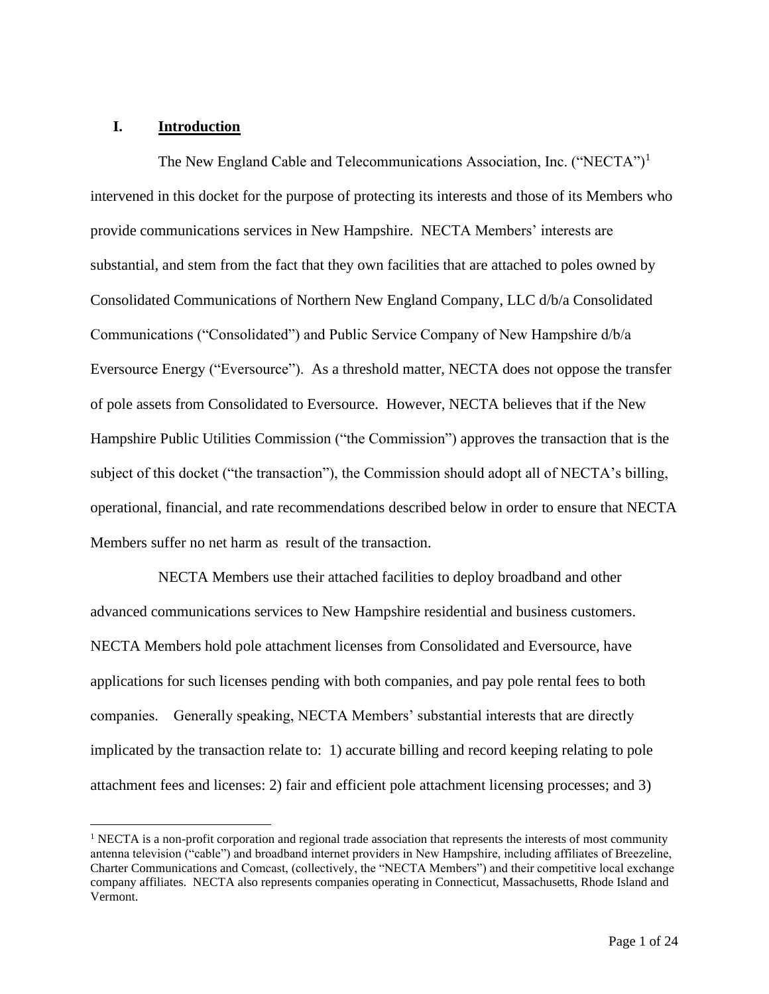### **I. Introduction**

The New England Cable and Telecommunications Association, Inc. ("NECTA")<sup>1</sup> intervened in this docket for the purpose of protecting its interests and those of its Members who provide communications services in New Hampshire. NECTA Members' interests are substantial, and stem from the fact that they own facilities that are attached to poles owned by Consolidated Communications of Northern New England Company, LLC d/b/a Consolidated Communications ("Consolidated") and Public Service Company of New Hampshire d/b/a Eversource Energy ("Eversource"). As a threshold matter, NECTA does not oppose the transfer of pole assets from Consolidated to Eversource. However, NECTA believes that if the New Hampshire Public Utilities Commission ("the Commission") approves the transaction that is the subject of this docket ("the transaction"), the Commission should adopt all of NECTA's billing, operational, financial, and rate recommendations described below in order to ensure that NECTA Members suffer no net harm as result of the transaction.

NECTA Members use their attached facilities to deploy broadband and other advanced communications services to New Hampshire residential and business customers. NECTA Members hold pole attachment licenses from Consolidated and Eversource, have applications for such licenses pending with both companies, and pay pole rental fees to both companies. Generally speaking, NECTA Members' substantial interests that are directly implicated by the transaction relate to: 1) accurate billing and record keeping relating to pole attachment fees and licenses: 2) fair and efficient pole attachment licensing processes; and 3)

 $<sup>1</sup>$  NECTA is a non-profit corporation and regional trade association that represents the interests of most community</sup> antenna television ("cable") and broadband internet providers in New Hampshire, including affiliates of Breezeline, Charter Communications and Comcast, (collectively, the "NECTA Members") and their competitive local exchange company affiliates. NECTA also represents companies operating in Connecticut, Massachusetts, Rhode Island and Vermont.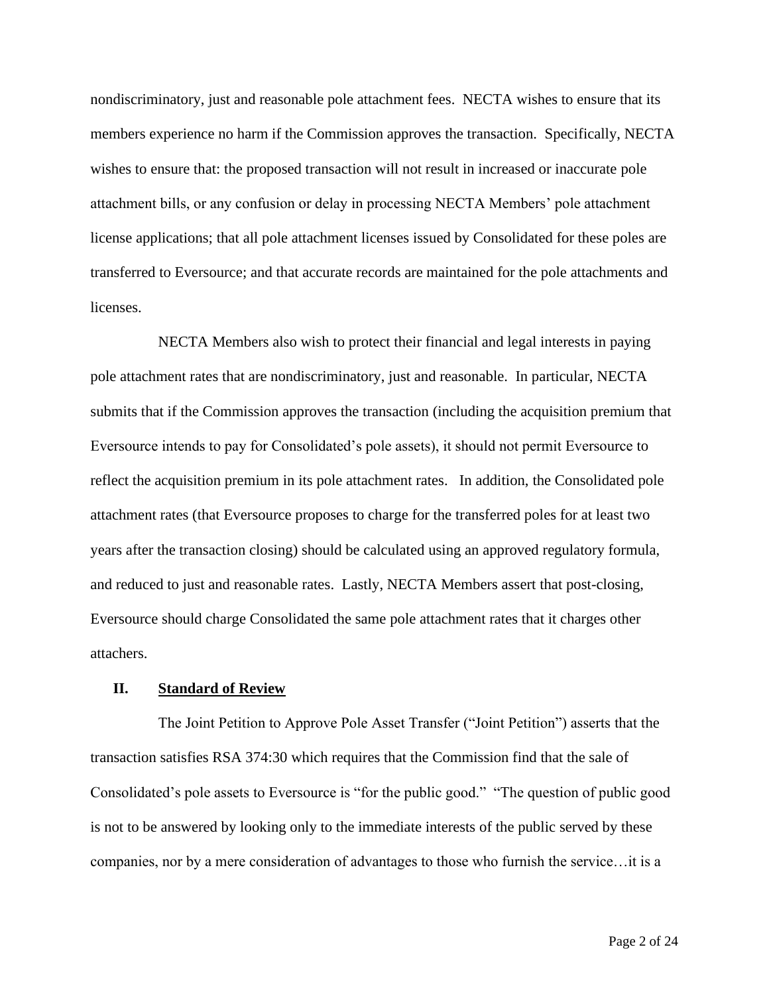nondiscriminatory, just and reasonable pole attachment fees. NECTA wishes to ensure that its members experience no harm if the Commission approves the transaction. Specifically, NECTA wishes to ensure that: the proposed transaction will not result in increased or inaccurate pole attachment bills, or any confusion or delay in processing NECTA Members' pole attachment license applications; that all pole attachment licenses issued by Consolidated for these poles are transferred to Eversource; and that accurate records are maintained for the pole attachments and licenses.

NECTA Members also wish to protect their financial and legal interests in paying pole attachment rates that are nondiscriminatory, just and reasonable. In particular, NECTA submits that if the Commission approves the transaction (including the acquisition premium that Eversource intends to pay for Consolidated's pole assets), it should not permit Eversource to reflect the acquisition premium in its pole attachment rates. In addition, the Consolidated pole attachment rates (that Eversource proposes to charge for the transferred poles for at least two years after the transaction closing) should be calculated using an approved regulatory formula, and reduced to just and reasonable rates. Lastly, NECTA Members assert that post-closing, Eversource should charge Consolidated the same pole attachment rates that it charges other attachers.

#### **II. Standard of Review**

The Joint Petition to Approve Pole Asset Transfer ("Joint Petition") asserts that the transaction satisfies RSA 374:30 which requires that the Commission find that the sale of Consolidated's pole assets to Eversource is "for the public good." "The question of public good is not to be answered by looking only to the immediate interests of the public served by these companies, nor by a mere consideration of advantages to those who furnish the service…it is a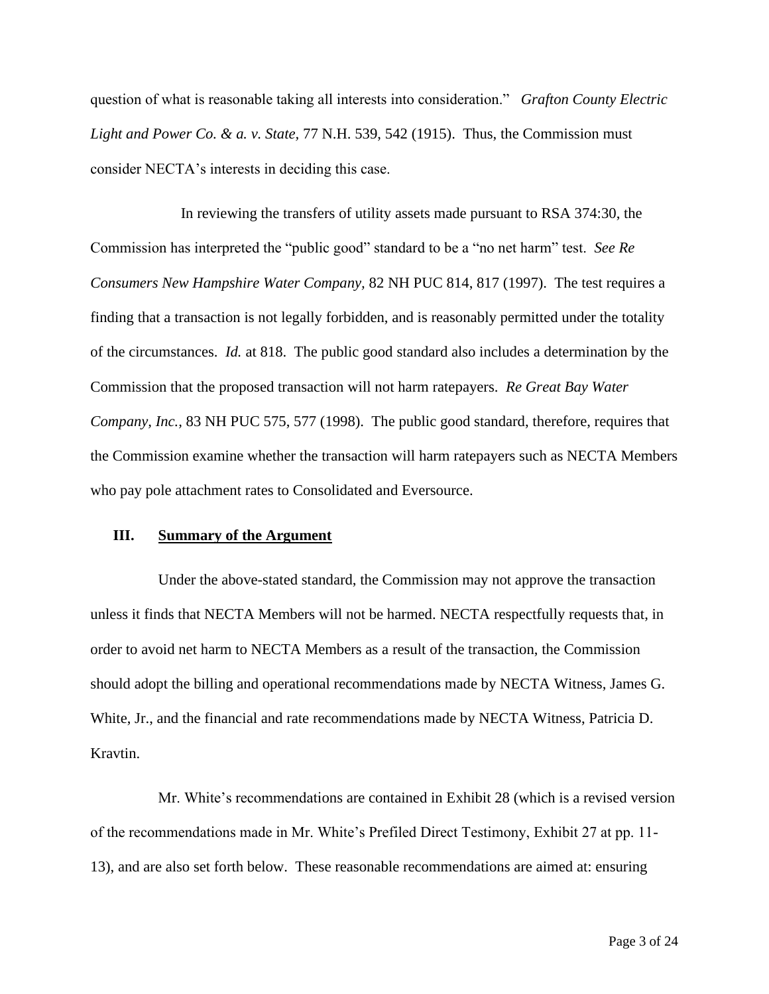question of what is reasonable taking all interests into consideration." *Grafton County Electric Light and Power Co. & a. v. State,* 77 N.H. 539, 542 (1915). Thus, the Commission must consider NECTA's interests in deciding this case.

In reviewing the transfers of utility assets made pursuant to RSA 374:30, the Commission has interpreted the "public good" standard to be a "no net harm" test. *See Re Consumers New Hampshire Water Company,* 82 NH PUC 814, 817 (1997). The test requires a finding that a transaction is not legally forbidden, and is reasonably permitted under the totality of the circumstances. *Id.* at 818. The public good standard also includes a determination by the Commission that the proposed transaction will not harm ratepayers. *Re Great Bay Water Company, Inc.,* 83 NH PUC 575, 577 (1998). The public good standard, therefore, requires that the Commission examine whether the transaction will harm ratepayers such as NECTA Members who pay pole attachment rates to Consolidated and Eversource.

#### **III. Summary of the Argument**

Under the above-stated standard, the Commission may not approve the transaction unless it finds that NECTA Members will not be harmed. NECTA respectfully requests that, in order to avoid net harm to NECTA Members as a result of the transaction, the Commission should adopt the billing and operational recommendations made by NECTA Witness, James G. White, Jr., and the financial and rate recommendations made by NECTA Witness, Patricia D. Kravtin.

Mr. White's recommendations are contained in Exhibit 28 (which is a revised version of the recommendations made in Mr. White's Prefiled Direct Testimony, Exhibit 27 at pp. 11- 13), and are also set forth below. These reasonable recommendations are aimed at: ensuring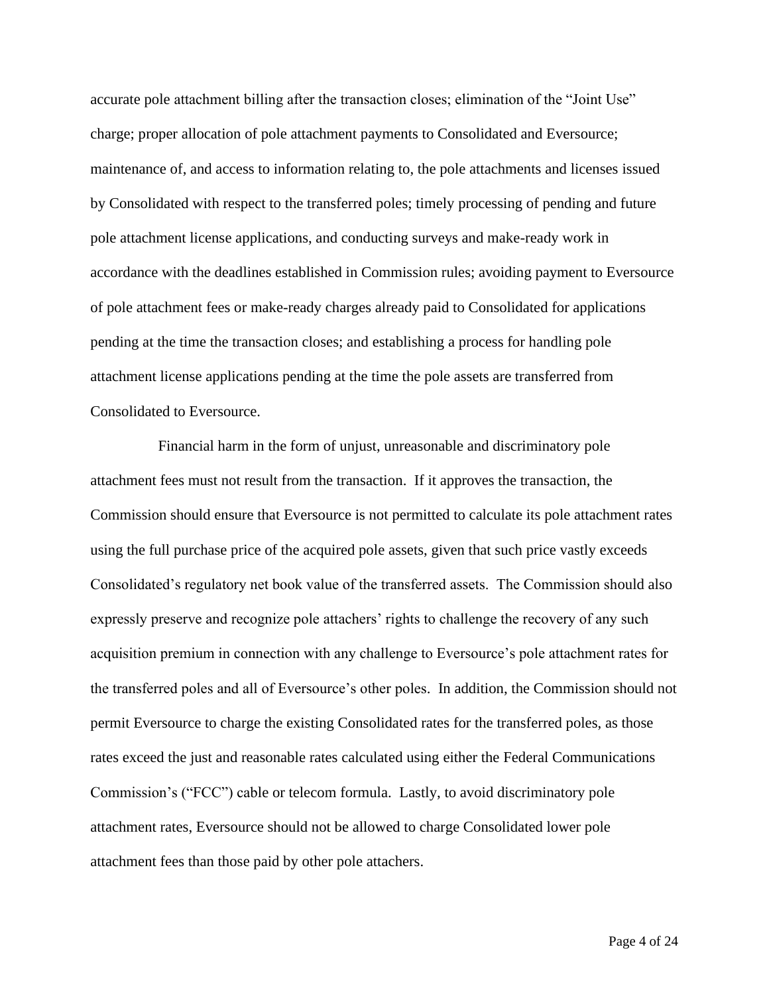accurate pole attachment billing after the transaction closes; elimination of the "Joint Use" charge; proper allocation of pole attachment payments to Consolidated and Eversource; maintenance of, and access to information relating to, the pole attachments and licenses issued by Consolidated with respect to the transferred poles; timely processing of pending and future pole attachment license applications, and conducting surveys and make-ready work in accordance with the deadlines established in Commission rules; avoiding payment to Eversource of pole attachment fees or make-ready charges already paid to Consolidated for applications pending at the time the transaction closes; and establishing a process for handling pole attachment license applications pending at the time the pole assets are transferred from Consolidated to Eversource.

Financial harm in the form of unjust, unreasonable and discriminatory pole attachment fees must not result from the transaction. If it approves the transaction, the Commission should ensure that Eversource is not permitted to calculate its pole attachment rates using the full purchase price of the acquired pole assets, given that such price vastly exceeds Consolidated's regulatory net book value of the transferred assets. The Commission should also expressly preserve and recognize pole attachers' rights to challenge the recovery of any such acquisition premium in connection with any challenge to Eversource's pole attachment rates for the transferred poles and all of Eversource's other poles. In addition, the Commission should not permit Eversource to charge the existing Consolidated rates for the transferred poles, as those rates exceed the just and reasonable rates calculated using either the Federal Communications Commission's ("FCC") cable or telecom formula. Lastly, to avoid discriminatory pole attachment rates, Eversource should not be allowed to charge Consolidated lower pole attachment fees than those paid by other pole attachers.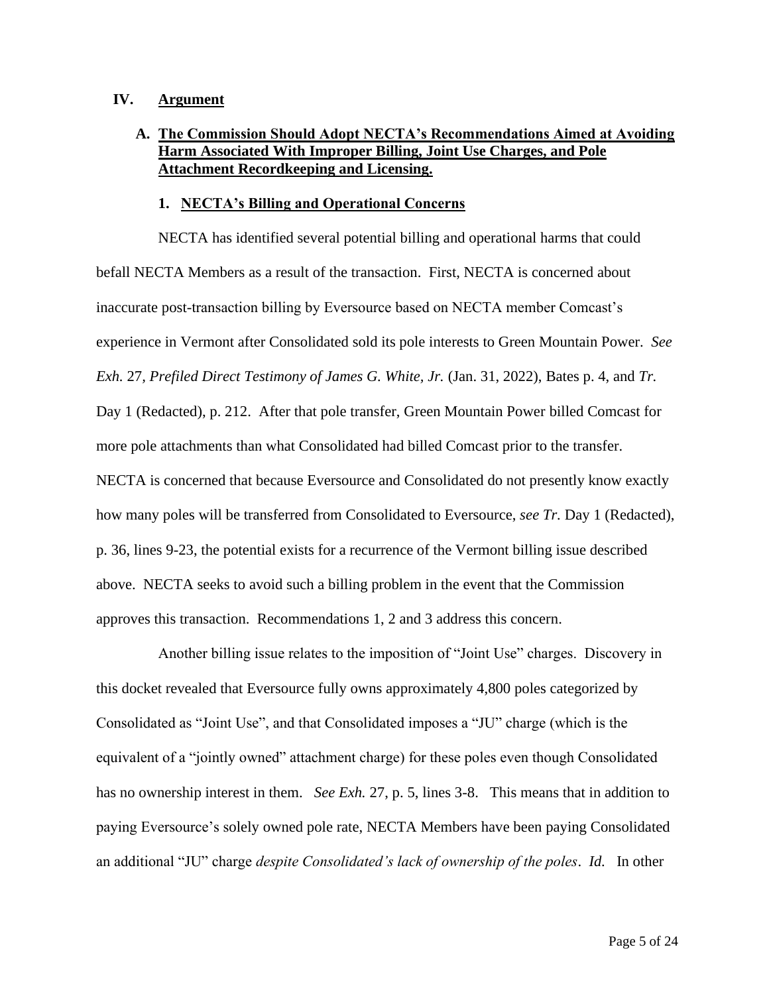#### **IV. Argument**

# **A. The Commission Should Adopt NECTA's Recommendations Aimed at Avoiding Harm Associated With Improper Billing, Joint Use Charges, and Pole Attachment Recordkeeping and Licensing.**

#### **1. NECTA's Billing and Operational Concerns**

NECTA has identified several potential billing and operational harms that could befall NECTA Members as a result of the transaction. First, NECTA is concerned about inaccurate post-transaction billing by Eversource based on NECTA member Comcast's experience in Vermont after Consolidated sold its pole interests to Green Mountain Power. *See Exh.* 27*, Prefiled Direct Testimony of James G. White, Jr.* (Jan. 31, 2022), Bates p. 4, and *Tr.* Day 1 (Redacted), p. 212. After that pole transfer, Green Mountain Power billed Comcast for more pole attachments than what Consolidated had billed Comcast prior to the transfer. NECTA is concerned that because Eversource and Consolidated do not presently know exactly how many poles will be transferred from Consolidated to Eversource, *see Tr.* Day 1 (Redacted), p. 36, lines 9-23, the potential exists for a recurrence of the Vermont billing issue described above. NECTA seeks to avoid such a billing problem in the event that the Commission approves this transaction. Recommendations 1, 2 and 3 address this concern.

Another billing issue relates to the imposition of "Joint Use" charges. Discovery in this docket revealed that Eversource fully owns approximately 4,800 poles categorized by Consolidated as "Joint Use", and that Consolidated imposes a "JU" charge (which is the equivalent of a "jointly owned" attachment charge) for these poles even though Consolidated has no ownership interest in them. *See Exh.* 27, p. 5, lines 3-8. This means that in addition to paying Eversource's solely owned pole rate, NECTA Members have been paying Consolidated an additional "JU" charge *despite Consolidated's lack of ownership of the poles*. *Id.* In other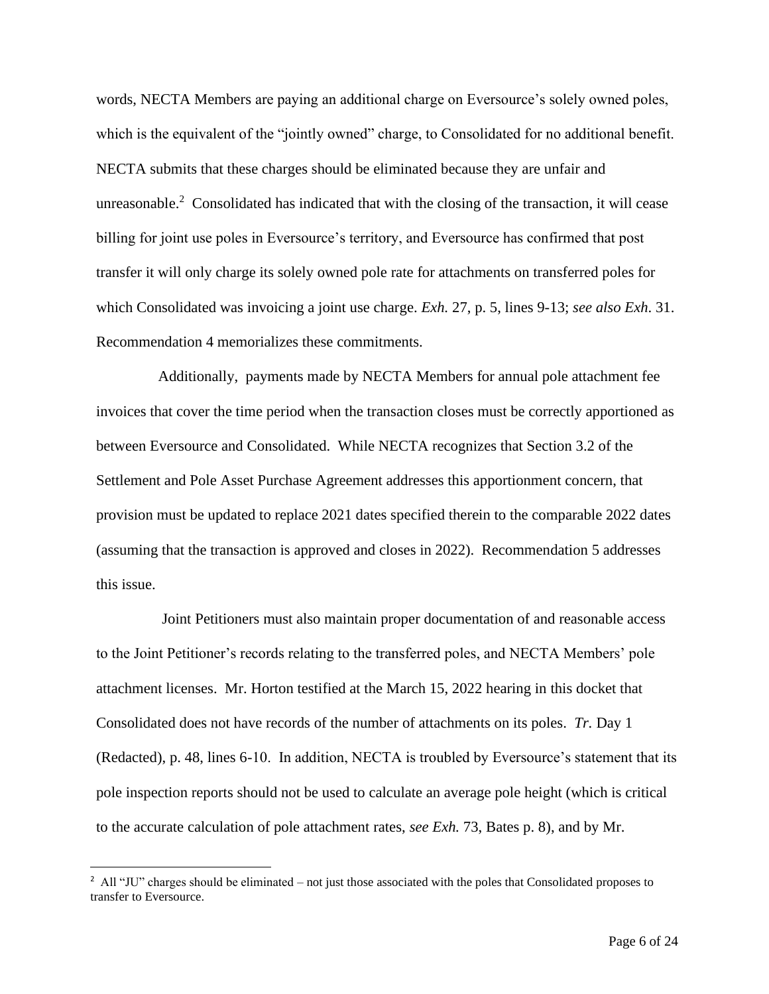words, NECTA Members are paying an additional charge on Eversource's solely owned poles, which is the equivalent of the "jointly owned" charge, to Consolidated for no additional benefit. NECTA submits that these charges should be eliminated because they are unfair and unreasonable.<sup>2</sup> Consolidated has indicated that with the closing of the transaction, it will cease billing for joint use poles in Eversource's territory, and Eversource has confirmed that post transfer it will only charge its solely owned pole rate for attachments on transferred poles for which Consolidated was invoicing a joint use charge. *Exh.* 27, p. 5, lines 9-13; *see also Exh*. 31. Recommendation 4 memorializes these commitments.

Additionally, payments made by NECTA Members for annual pole attachment fee invoices that cover the time period when the transaction closes must be correctly apportioned as between Eversource and Consolidated. While NECTA recognizes that Section 3.2 of the Settlement and Pole Asset Purchase Agreement addresses this apportionment concern, that provision must be updated to replace 2021 dates specified therein to the comparable 2022 dates (assuming that the transaction is approved and closes in 2022). Recommendation 5 addresses this issue.

Joint Petitioners must also maintain proper documentation of and reasonable access to the Joint Petitioner's records relating to the transferred poles, and NECTA Members' pole attachment licenses. Mr. Horton testified at the March 15, 2022 hearing in this docket that Consolidated does not have records of the number of attachments on its poles. *Tr.* Day 1 (Redacted), p. 48, lines 6-10. In addition, NECTA is troubled by Eversource's statement that its pole inspection reports should not be used to calculate an average pole height (which is critical to the accurate calculation of pole attachment rates, *see Exh.* 73, Bates p. 8), and by Mr.

<sup>&</sup>lt;sup>2</sup> All "JU" charges should be eliminated – not just those associated with the poles that Consolidated proposes to transfer to Eversource.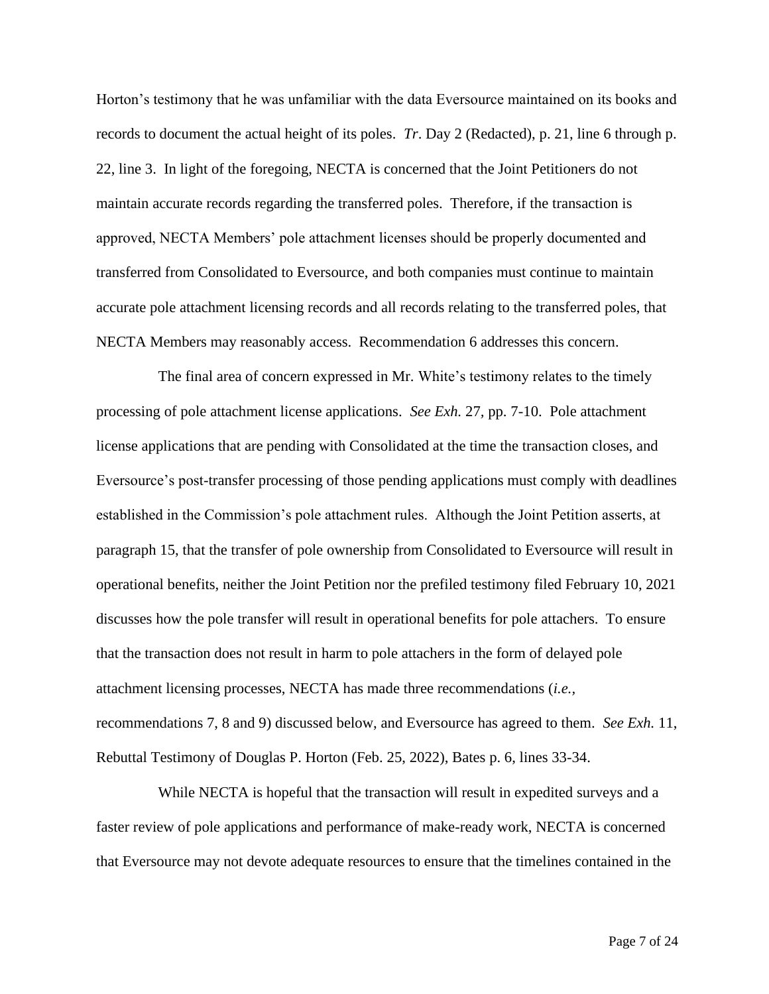Horton's testimony that he was unfamiliar with the data Eversource maintained on its books and records to document the actual height of its poles. *Tr*. Day 2 (Redacted), p. 21, line 6 through p. 22, line 3. In light of the foregoing, NECTA is concerned that the Joint Petitioners do not maintain accurate records regarding the transferred poles. Therefore, if the transaction is approved, NECTA Members' pole attachment licenses should be properly documented and transferred from Consolidated to Eversource, and both companies must continue to maintain accurate pole attachment licensing records and all records relating to the transferred poles, that NECTA Members may reasonably access. Recommendation 6 addresses this concern.

The final area of concern expressed in Mr. White's testimony relates to the timely processing of pole attachment license applications. *See Exh.* 27*,* pp. 7-10. Pole attachment license applications that are pending with Consolidated at the time the transaction closes, and Eversource's post-transfer processing of those pending applications must comply with deadlines established in the Commission's pole attachment rules. Although the Joint Petition asserts, at paragraph 15, that the transfer of pole ownership from Consolidated to Eversource will result in operational benefits, neither the Joint Petition nor the prefiled testimony filed February 10, 2021 discusses how the pole transfer will result in operational benefits for pole attachers. To ensure that the transaction does not result in harm to pole attachers in the form of delayed pole attachment licensing processes, NECTA has made three recommendations (*i.e.,* recommendations 7, 8 and 9) discussed below, and Eversource has agreed to them. *See Exh.* 11, Rebuttal Testimony of Douglas P. Horton (Feb. 25, 2022), Bates p. 6, lines 33-34.

While NECTA is hopeful that the transaction will result in expedited surveys and a faster review of pole applications and performance of make-ready work, NECTA is concerned that Eversource may not devote adequate resources to ensure that the timelines contained in the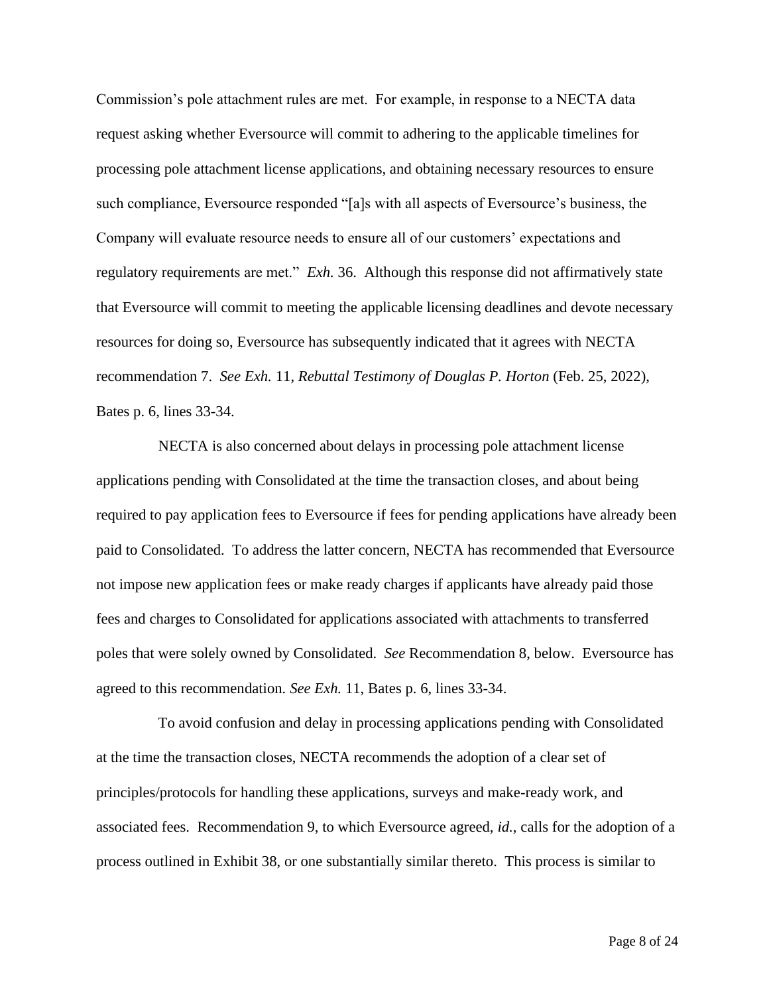Commission's pole attachment rules are met. For example, in response to a NECTA data request asking whether Eversource will commit to adhering to the applicable timelines for processing pole attachment license applications, and obtaining necessary resources to ensure such compliance, Eversource responded "[a]s with all aspects of Eversource's business, the Company will evaluate resource needs to ensure all of our customers' expectations and regulatory requirements are met." *Exh.* 36. Although this response did not affirmatively state that Eversource will commit to meeting the applicable licensing deadlines and devote necessary resources for doing so, Eversource has subsequently indicated that it agrees with NECTA recommendation 7. *See Exh.* 11, *Rebuttal Testimony of Douglas P. Horton* (Feb. 25, 2022), Bates p. 6, lines 33-34.

NECTA is also concerned about delays in processing pole attachment license applications pending with Consolidated at the time the transaction closes, and about being required to pay application fees to Eversource if fees for pending applications have already been paid to Consolidated. To address the latter concern, NECTA has recommended that Eversource not impose new application fees or make ready charges if applicants have already paid those fees and charges to Consolidated for applications associated with attachments to transferred poles that were solely owned by Consolidated. *See* Recommendation 8, below. Eversource has agreed to this recommendation*. See Exh.* 11, Bates p. 6, lines 33-34.

To avoid confusion and delay in processing applications pending with Consolidated at the time the transaction closes, NECTA recommends the adoption of a clear set of principles/protocols for handling these applications, surveys and make-ready work, and associated fees. Recommendation 9, to which Eversource agreed, *id.*, calls for the adoption of a process outlined in Exhibit 38, or one substantially similar thereto. This process is similar to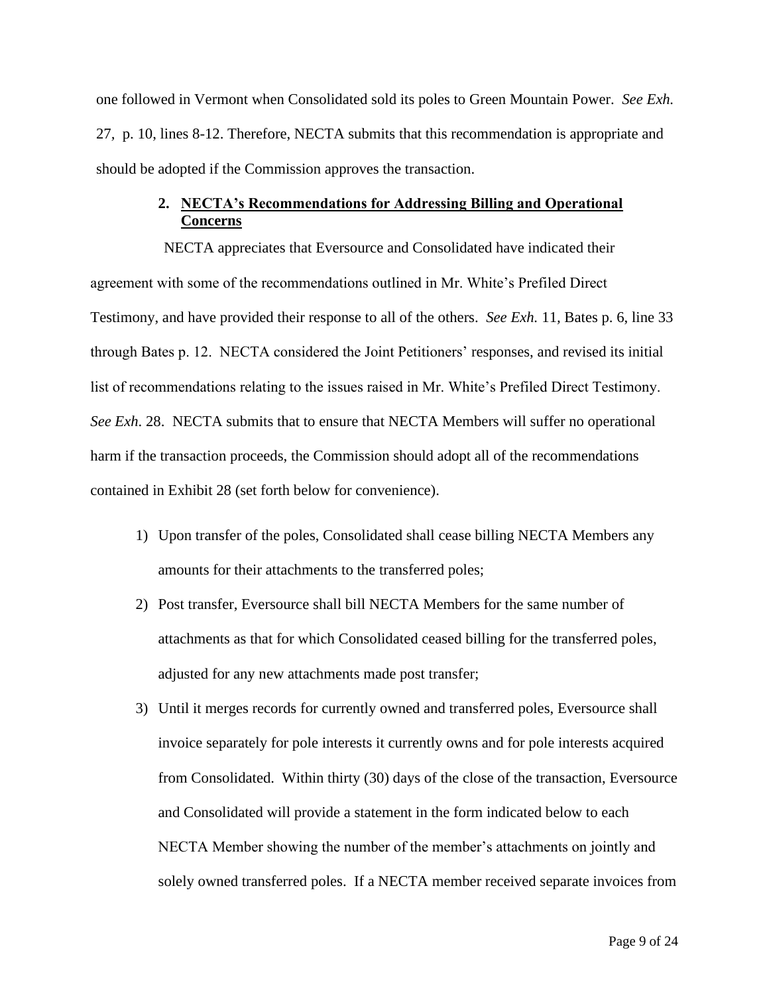one followed in Vermont when Consolidated sold its poles to Green Mountain Power. *See Exh.*  27*,* p. 10, lines 8-12. Therefore, NECTA submits that this recommendation is appropriate and should be adopted if the Commission approves the transaction.

# **2. NECTA's Recommendations for Addressing Billing and Operational Concerns**

NECTA appreciates that Eversource and Consolidated have indicated their agreement with some of the recommendations outlined in Mr. White's Prefiled Direct Testimony, and have provided their response to all of the others. *See Exh.* 11*,* Bates p. 6, line 33 through Bates p. 12. NECTA considered the Joint Petitioners' responses, and revised its initial list of recommendations relating to the issues raised in Mr. White's Prefiled Direct Testimony. *See Exh*. 28. NECTA submits that to ensure that NECTA Members will suffer no operational harm if the transaction proceeds, the Commission should adopt all of the recommendations contained in Exhibit 28 (set forth below for convenience).

- 1) Upon transfer of the poles, Consolidated shall cease billing NECTA Members any amounts for their attachments to the transferred poles;
- 2) Post transfer, Eversource shall bill NECTA Members for the same number of attachments as that for which Consolidated ceased billing for the transferred poles, adjusted for any new attachments made post transfer;
- 3) Until it merges records for currently owned and transferred poles, Eversource shall invoice separately for pole interests it currently owns and for pole interests acquired from Consolidated. Within thirty (30) days of the close of the transaction, Eversource and Consolidated will provide a statement in the form indicated below to each NECTA Member showing the number of the member's attachments on jointly and solely owned transferred poles. If a NECTA member received separate invoices from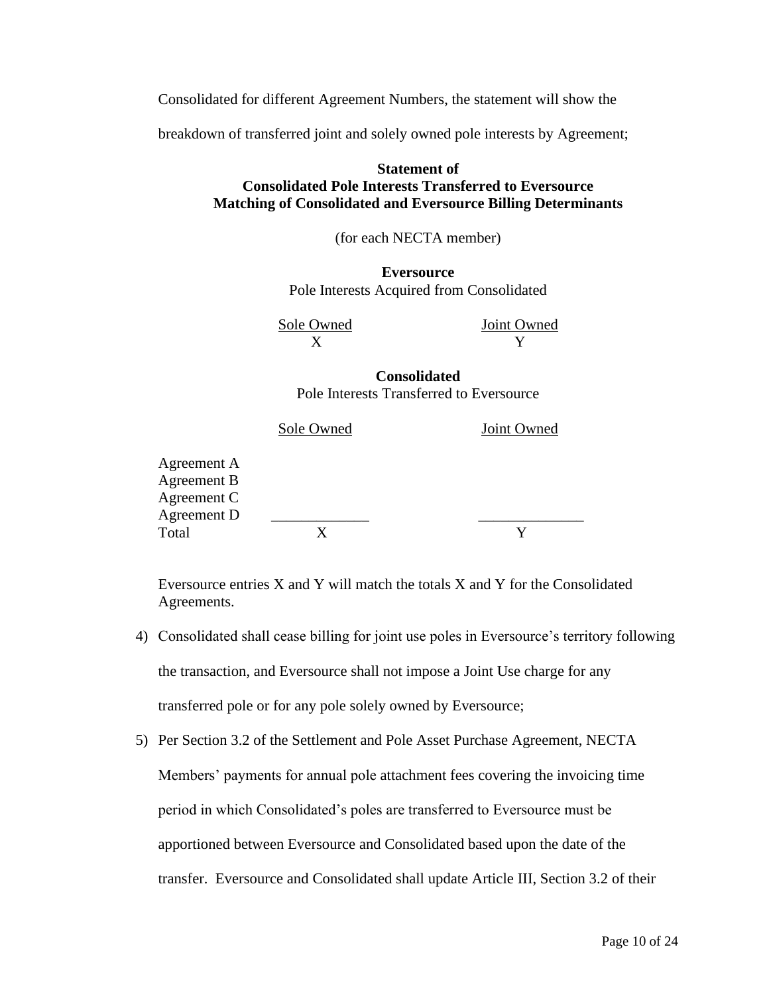Consolidated for different Agreement Numbers, the statement will show the

breakdown of transferred joint and solely owned pole interests by Agreement;

#### **Statement of Consolidated Pole Interests Transferred to Eversource Matching of Consolidated and Eversource Billing Determinants**

(for each NECTA member)

**Eversource** Pole Interests Acquired from Consolidated

Sole Owned Joint Owned  $X$   $Y$ 

**Consolidated** Pole Interests Transferred to Eversource

| Sole Owned | Joint Owned |  |
|------------|-------------|--|
|            |             |  |
|            |             |  |
|            |             |  |
|            |             |  |
|            |             |  |
|            |             |  |

Eversource entries X and Y will match the totals X and Y for the Consolidated Agreements.

- 4) Consolidated shall cease billing for joint use poles in Eversource's territory following the transaction, and Eversource shall not impose a Joint Use charge for any transferred pole or for any pole solely owned by Eversource;
- 5) Per Section 3.2 of the Settlement and Pole Asset Purchase Agreement, NECTA Members' payments for annual pole attachment fees covering the invoicing time period in which Consolidated's poles are transferred to Eversource must be apportioned between Eversource and Consolidated based upon the date of the transfer. Eversource and Consolidated shall update Article III, Section 3.2 of their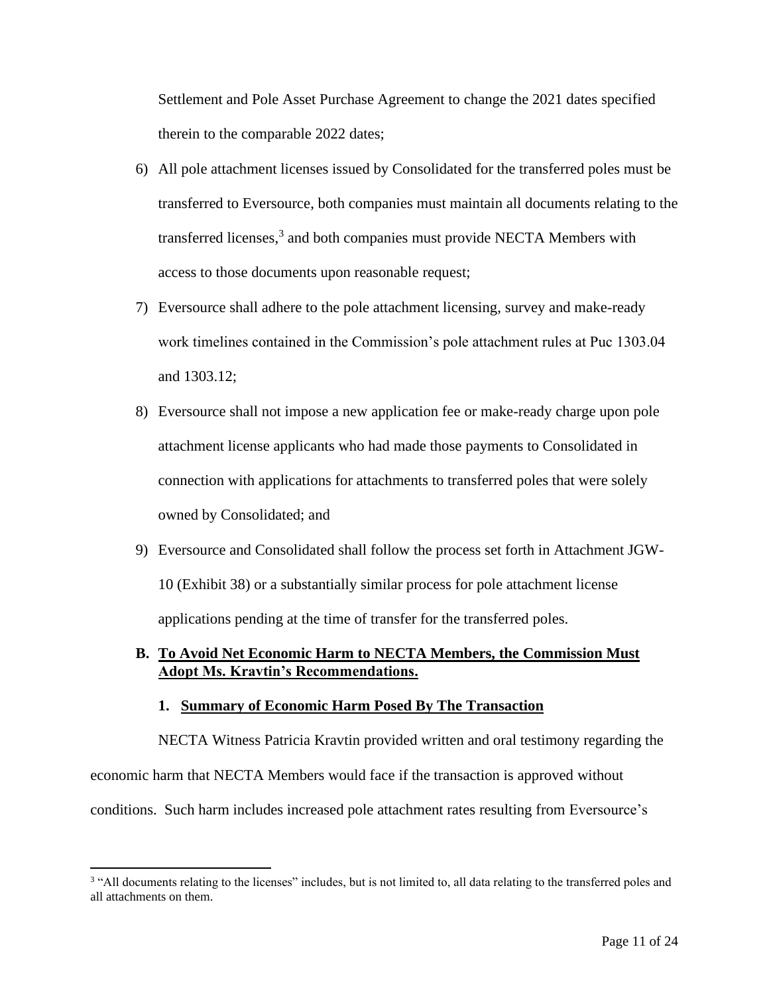Settlement and Pole Asset Purchase Agreement to change the 2021 dates specified therein to the comparable 2022 dates;

- 6) All pole attachment licenses issued by Consolidated for the transferred poles must be transferred to Eversource, both companies must maintain all documents relating to the transferred licenses,<sup>3</sup> and both companies must provide NECTA Members with access to those documents upon reasonable request;
- 7) Eversource shall adhere to the pole attachment licensing, survey and make-ready work timelines contained in the Commission's pole attachment rules at Puc 1303.04 and 1303.12;
- 8) Eversource shall not impose a new application fee or make-ready charge upon pole attachment license applicants who had made those payments to Consolidated in connection with applications for attachments to transferred poles that were solely owned by Consolidated; and
- 9) Eversource and Consolidated shall follow the process set forth in Attachment JGW-10 (Exhibit 38) or a substantially similar process for pole attachment license applications pending at the time of transfer for the transferred poles.

#### **B. To Avoid Net Economic Harm to NECTA Members, the Commission Must Adopt Ms. Kravtin's Recommendations.**

#### **1. Summary of Economic Harm Posed By The Transaction**

NECTA Witness Patricia Kravtin provided written and oral testimony regarding the economic harm that NECTA Members would face if the transaction is approved without conditions. Such harm includes increased pole attachment rates resulting from Eversource's

<sup>&</sup>lt;sup>3</sup> "All documents relating to the licenses" includes, but is not limited to, all data relating to the transferred poles and all attachments on them.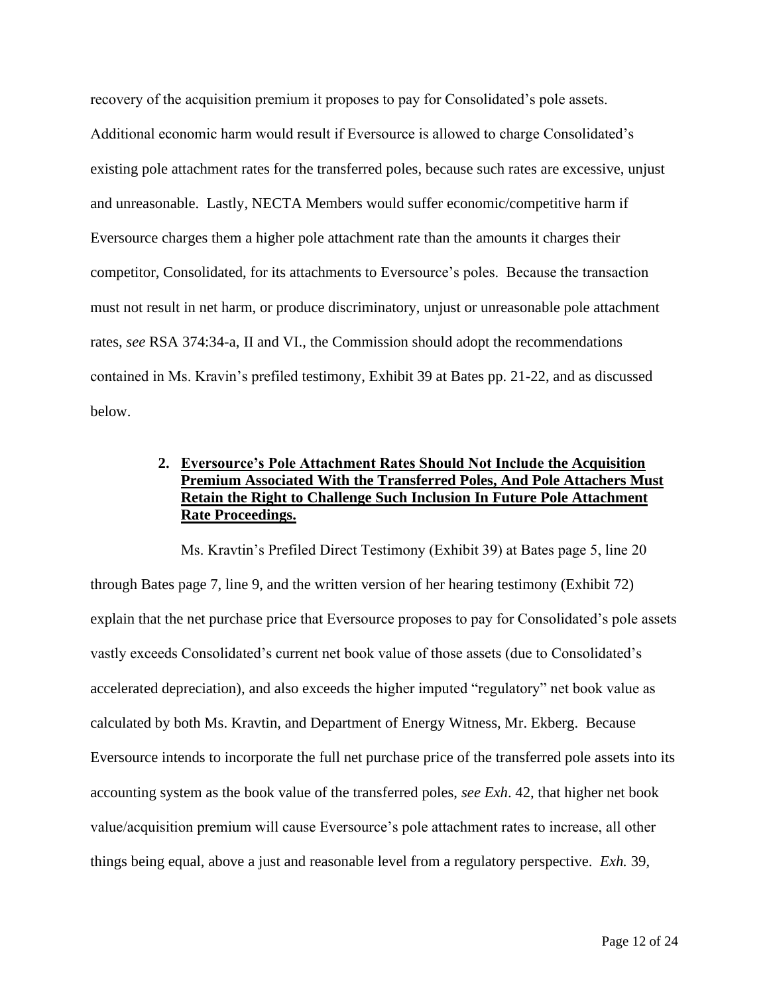recovery of the acquisition premium it proposes to pay for Consolidated's pole assets. Additional economic harm would result if Eversource is allowed to charge Consolidated's existing pole attachment rates for the transferred poles, because such rates are excessive, unjust and unreasonable. Lastly, NECTA Members would suffer economic/competitive harm if Eversource charges them a higher pole attachment rate than the amounts it charges their competitor, Consolidated, for its attachments to Eversource's poles. Because the transaction must not result in net harm, or produce discriminatory, unjust or unreasonable pole attachment rates, *see* RSA 374:34-a, II and VI., the Commission should adopt the recommendations contained in Ms. Kravin's prefiled testimony, Exhibit 39 at Bates pp. 21-22, and as discussed below.

# **2. Eversource's Pole Attachment Rates Should Not Include the Acquisition Premium Associated With the Transferred Poles, And Pole Attachers Must Retain the Right to Challenge Such Inclusion In Future Pole Attachment Rate Proceedings.**

Ms. Kravtin's Prefiled Direct Testimony (Exhibit 39) at Bates page 5, line 20 through Bates page 7, line 9, and the written version of her hearing testimony (Exhibit 72) explain that the net purchase price that Eversource proposes to pay for Consolidated's pole assets vastly exceeds Consolidated's current net book value of those assets (due to Consolidated's accelerated depreciation), and also exceeds the higher imputed "regulatory" net book value as calculated by both Ms. Kravtin, and Department of Energy Witness, Mr. Ekberg. Because Eversource intends to incorporate the full net purchase price of the transferred pole assets into its accounting system as the book value of the transferred poles, *see Exh*. 42, that higher net book value/acquisition premium will cause Eversource's pole attachment rates to increase, all other things being equal, above a just and reasonable level from a regulatory perspective. *Exh.* 39,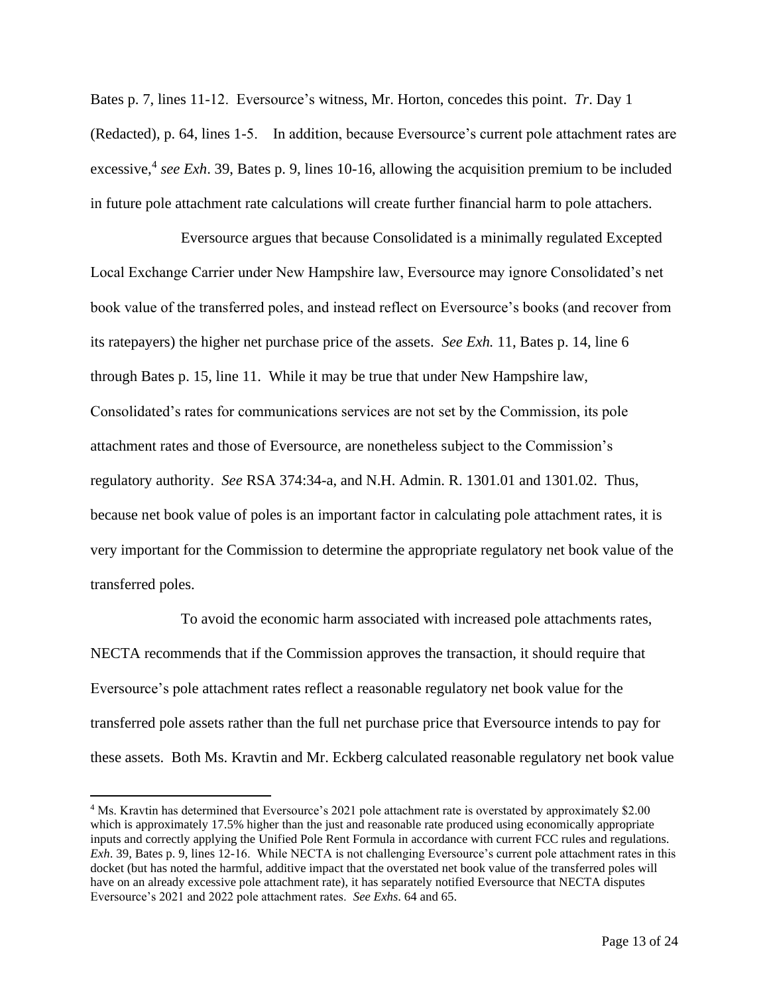Bates p. 7, lines 11-12. Eversource's witness, Mr. Horton, concedes this point. *Tr*. Day 1 (Redacted), p. 64, lines 1-5. In addition, because Eversource's current pole attachment rates are excessive, 4 *see Exh*. 39, Bates p. 9, lines 10-16, allowing the acquisition premium to be included in future pole attachment rate calculations will create further financial harm to pole attachers.

Eversource argues that because Consolidated is a minimally regulated Excepted Local Exchange Carrier under New Hampshire law, Eversource may ignore Consolidated's net book value of the transferred poles, and instead reflect on Eversource's books (and recover from its ratepayers) the higher net purchase price of the assets. *See Exh.* 11, Bates p. 14, line 6 through Bates p. 15, line 11. While it may be true that under New Hampshire law, Consolidated's rates for communications services are not set by the Commission, its pole attachment rates and those of Eversource, are nonetheless subject to the Commission's regulatory authority. *See* RSA 374:34-a, and N.H. Admin. R. 1301.01 and 1301.02. Thus, because net book value of poles is an important factor in calculating pole attachment rates, it is very important for the Commission to determine the appropriate regulatory net book value of the transferred poles.

To avoid the economic harm associated with increased pole attachments rates, NECTA recommends that if the Commission approves the transaction, it should require that Eversource's pole attachment rates reflect a reasonable regulatory net book value for the transferred pole assets rather than the full net purchase price that Eversource intends to pay for these assets. Both Ms. Kravtin and Mr. Eckberg calculated reasonable regulatory net book value

<sup>4</sup> Ms. Kravtin has determined that Eversource's 2021 pole attachment rate is overstated by approximately \$2.00 which is approximately 17.5% higher than the just and reasonable rate produced using economically appropriate inputs and correctly applying the Unified Pole Rent Formula in accordance with current FCC rules and regulations. *Exh*. 39, Bates p. 9, lines 12-16. While NECTA is not challenging Eversource's current pole attachment rates in this docket (but has noted the harmful, additive impact that the overstated net book value of the transferred poles will have on an already excessive pole attachment rate), it has separately notified Eversource that NECTA disputes Eversource's 2021 and 2022 pole attachment rates. *See Exhs*. 64 and 65.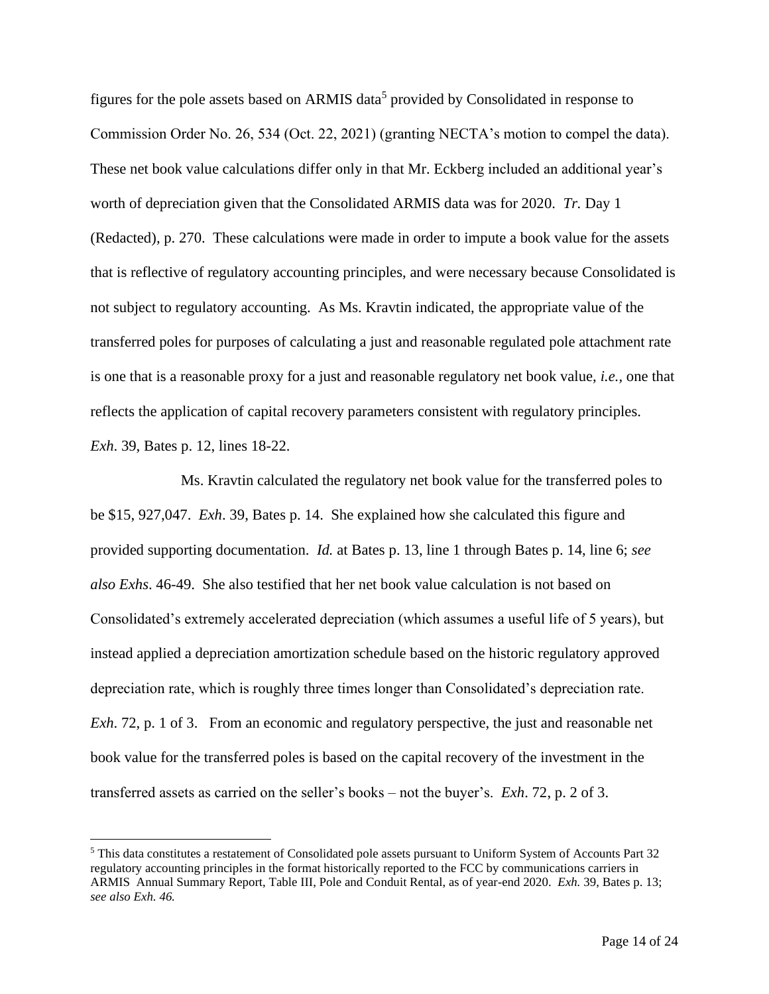figures for the pole assets based on ARMIS data<sup>5</sup> provided by Consolidated in response to Commission Order No. 26, 534 (Oct. 22, 2021) (granting NECTA's motion to compel the data). These net book value calculations differ only in that Mr. Eckberg included an additional year's worth of depreciation given that the Consolidated ARMIS data was for 2020. *Tr.* Day 1 (Redacted), p. 270. These calculations were made in order to impute a book value for the assets that is reflective of regulatory accounting principles, and were necessary because Consolidated is not subject to regulatory accounting. As Ms. Kravtin indicated, the appropriate value of the transferred poles for purposes of calculating a just and reasonable regulated pole attachment rate is one that is a reasonable proxy for a just and reasonable regulatory net book value, *i.e.,* one that reflects the application of capital recovery parameters consistent with regulatory principles. *Exh*. 39, Bates p. 12, lines 18-22.

Ms. Kravtin calculated the regulatory net book value for the transferred poles to be \$15, 927,047. *Exh*. 39, Bates p. 14. She explained how she calculated this figure and provided supporting documentation. *Id.* at Bates p. 13, line 1 through Bates p. 14, line 6; *see also Exhs*. 46-49. She also testified that her net book value calculation is not based on Consolidated's extremely accelerated depreciation (which assumes a useful life of 5 years), but instead applied a depreciation amortization schedule based on the historic regulatory approved depreciation rate, which is roughly three times longer than Consolidated's depreciation rate. *Exh*. 72, p. 1 of 3. From an economic and regulatory perspective, the just and reasonable net book value for the transferred poles is based on the capital recovery of the investment in the transferred assets as carried on the seller's books – not the buyer's. *Exh*. 72, p. 2 of 3.

<sup>5</sup> This data constitutes a restatement of Consolidated pole assets pursuant to Uniform System of Accounts Part 32 regulatory accounting principles in the format historically reported to the FCC by communications carriers in ARMIS Annual Summary Report, Table III, Pole and Conduit Rental, as of year-end 2020. *Exh.* 39, Bates p. 13; *see also Exh. 46.*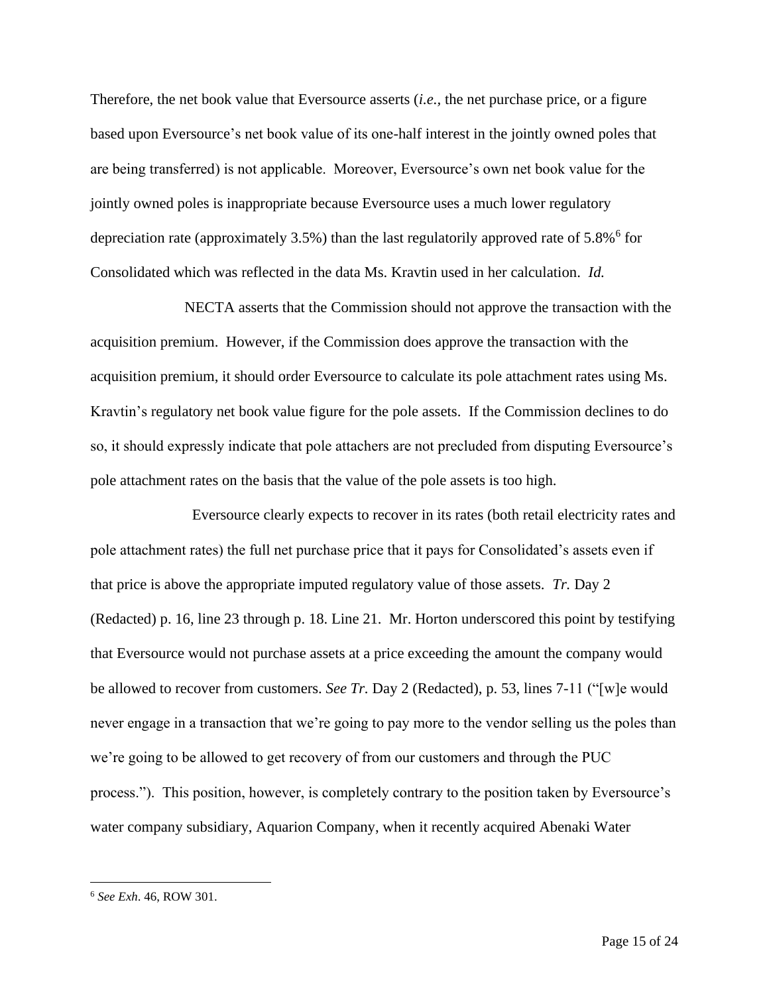Therefore, the net book value that Eversource asserts (*i.e.,* the net purchase price, or a figure based upon Eversource's net book value of its one-half interest in the jointly owned poles that are being transferred) is not applicable. Moreover, Eversource's own net book value for the jointly owned poles is inappropriate because Eversource uses a much lower regulatory depreciation rate (approximately  $3.5\%$ ) than the last regulatorily approved rate of  $5.8\%$ <sup>6</sup> for Consolidated which was reflected in the data Ms. Kravtin used in her calculation. *Id.* 

NECTA asserts that the Commission should not approve the transaction with the acquisition premium. However, if the Commission does approve the transaction with the acquisition premium, it should order Eversource to calculate its pole attachment rates using Ms. Kravtin's regulatory net book value figure for the pole assets. If the Commission declines to do so, it should expressly indicate that pole attachers are not precluded from disputing Eversource's pole attachment rates on the basis that the value of the pole assets is too high.

 Eversource clearly expects to recover in its rates (both retail electricity rates and pole attachment rates) the full net purchase price that it pays for Consolidated's assets even if that price is above the appropriate imputed regulatory value of those assets. *Tr.* Day 2 (Redacted) p. 16, line 23 through p. 18. Line 21. Mr. Horton underscored this point by testifying that Eversource would not purchase assets at a price exceeding the amount the company would be allowed to recover from customers. *See Tr.* Day 2 (Redacted), p. 53, lines 7-11 ("[w]e would never engage in a transaction that we're going to pay more to the vendor selling us the poles than we're going to be allowed to get recovery of from our customers and through the PUC process."). This position, however, is completely contrary to the position taken by Eversource's water company subsidiary, Aquarion Company, when it recently acquired Abenaki Water

<sup>6</sup> *See Exh*. 46, ROW 301.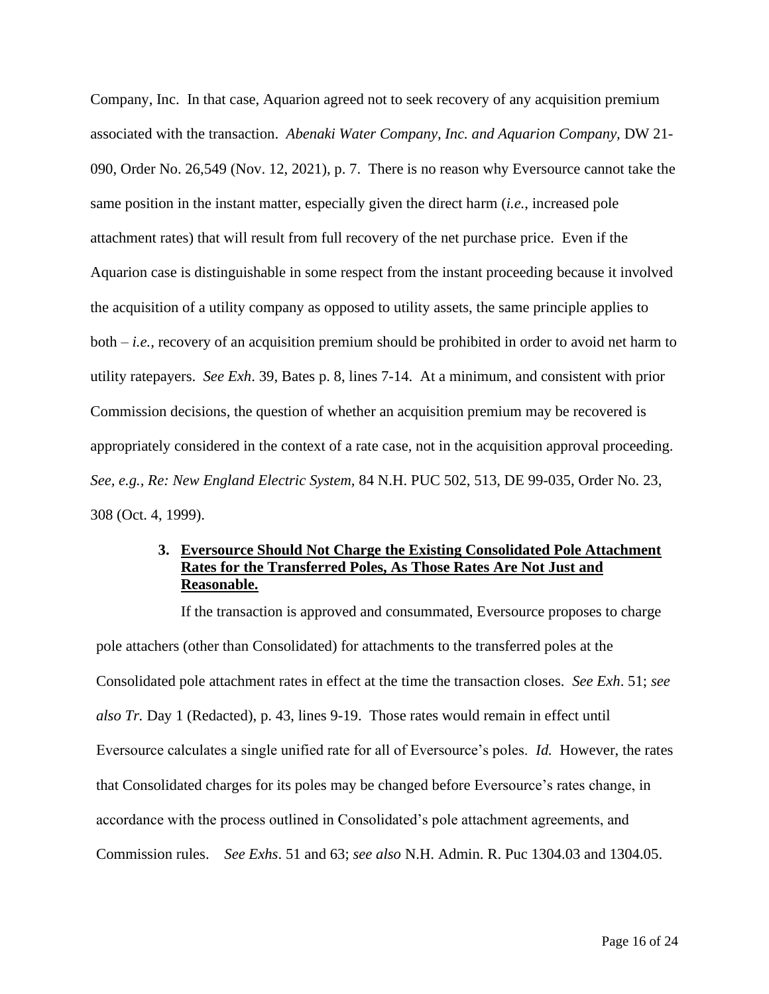Company, Inc. In that case, Aquarion agreed not to seek recovery of any acquisition premium associated with the transaction. *Abenaki Water Company, Inc. and Aquarion Company,* DW 21- 090, Order No. 26,549 (Nov. 12, 2021), p. 7. There is no reason why Eversource cannot take the same position in the instant matter, especially given the direct harm (*i.e.*, increased pole attachment rates) that will result from full recovery of the net purchase price. Even if the Aquarion case is distinguishable in some respect from the instant proceeding because it involved the acquisition of a utility company as opposed to utility assets, the same principle applies to both – *i.e.,* recovery of an acquisition premium should be prohibited in order to avoid net harm to utility ratepayers. *See Exh*. 39, Bates p. 8, lines 7-14. At a minimum, and consistent with prior Commission decisions, the question of whether an acquisition premium may be recovered is appropriately considered in the context of a rate case, not in the acquisition approval proceeding. *See, e.g., Re: New England Electric System,* 84 N.H. PUC 502, 513, DE 99-035, Order No. 23, 308 (Oct. 4, 1999).

## **3. Eversource Should Not Charge the Existing Consolidated Pole Attachment Rates for the Transferred Poles, As Those Rates Are Not Just and Reasonable.**

If the transaction is approved and consummated, Eversource proposes to charge pole attachers (other than Consolidated) for attachments to the transferred poles at the Consolidated pole attachment rates in effect at the time the transaction closes. *See Exh*. 51; *see also Tr.* Day 1 (Redacted), p. 43, lines 9-19. Those rates would remain in effect until Eversource calculates a single unified rate for all of Eversource's poles. *Id.* However, the rates that Consolidated charges for its poles may be changed before Eversource's rates change, in accordance with the process outlined in Consolidated's pole attachment agreements, and Commission rules. *See Exhs*. 51 and 63; *see also* N.H. Admin. R. Puc 1304.03 and 1304.05.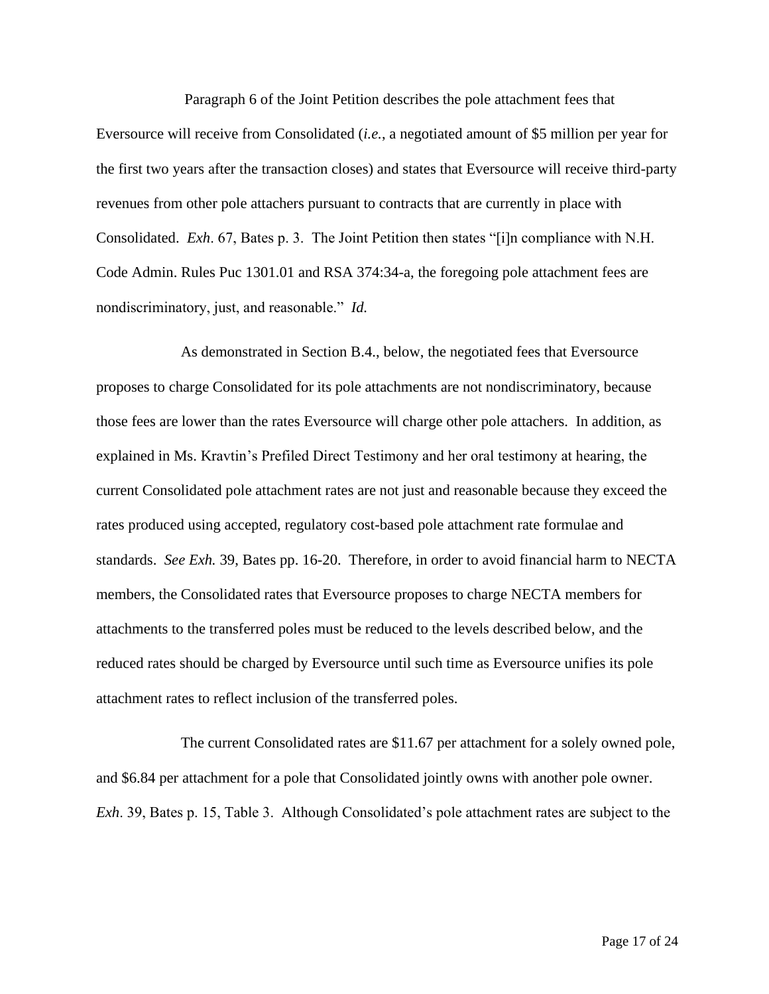Paragraph 6 of the Joint Petition describes the pole attachment fees that

Eversource will receive from Consolidated (*i.e.*, a negotiated amount of \$5 million per year for the first two years after the transaction closes) and states that Eversource will receive third-party revenues from other pole attachers pursuant to contracts that are currently in place with Consolidated. *Exh*. 67, Bates p. 3. The Joint Petition then states "[i]n compliance with N.H. Code Admin. Rules Puc 1301.01 and RSA 374:34-a, the foregoing pole attachment fees are nondiscriminatory, just, and reasonable." *Id.*

As demonstrated in Section B.4., below, the negotiated fees that Eversource proposes to charge Consolidated for its pole attachments are not nondiscriminatory, because those fees are lower than the rates Eversource will charge other pole attachers. In addition, as explained in Ms. Kravtin's Prefiled Direct Testimony and her oral testimony at hearing, the current Consolidated pole attachment rates are not just and reasonable because they exceed the rates produced using accepted, regulatory cost-based pole attachment rate formulae and standards. *See Exh.* 39, Bates pp. 16-20. Therefore, in order to avoid financial harm to NECTA members, the Consolidated rates that Eversource proposes to charge NECTA members for attachments to the transferred poles must be reduced to the levels described below, and the reduced rates should be charged by Eversource until such time as Eversource unifies its pole attachment rates to reflect inclusion of the transferred poles.

The current Consolidated rates are \$11.67 per attachment for a solely owned pole, and \$6.84 per attachment for a pole that Consolidated jointly owns with another pole owner. *Exh*. 39, Bates p. 15, Table 3. Although Consolidated's pole attachment rates are subject to the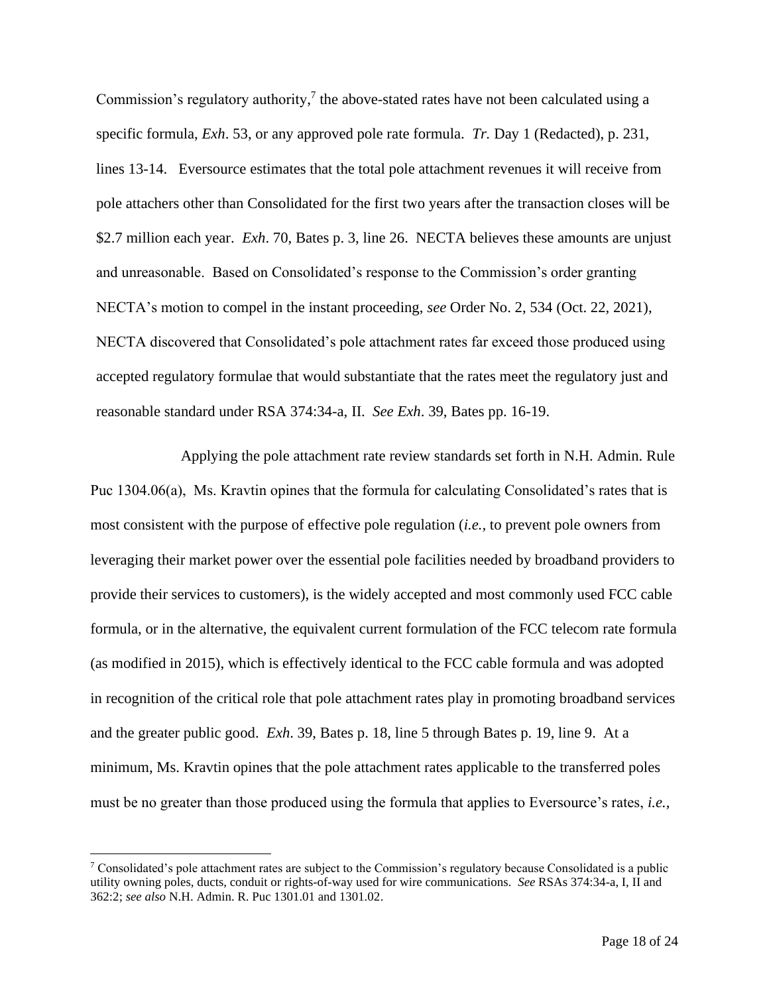Commission's regulatory authority, $\frac{7}{1}$  the above-stated rates have not been calculated using a specific formula, *Exh*. 53, or any approved pole rate formula. *Tr.* Day 1 (Redacted), p. 231, lines 13-14. Eversource estimates that the total pole attachment revenues it will receive from pole attachers other than Consolidated for the first two years after the transaction closes will be \$2.7 million each year. *Exh*. 70, Bates p. 3, line 26. NECTA believes these amounts are unjust and unreasonable. Based on Consolidated's response to the Commission's order granting NECTA's motion to compel in the instant proceeding, *see* Order No. 2, 534 (Oct. 22, 2021), NECTA discovered that Consolidated's pole attachment rates far exceed those produced using accepted regulatory formulae that would substantiate that the rates meet the regulatory just and reasonable standard under RSA 374:34-a, II. *See Exh*. 39, Bates pp. 16-19.

Applying the pole attachment rate review standards set forth in N.H. Admin. Rule Puc 1304.06(a), Ms. Kravtin opines that the formula for calculating Consolidated's rates that is most consistent with the purpose of effective pole regulation (*i.e.,* to prevent pole owners from leveraging their market power over the essential pole facilities needed by broadband providers to provide their services to customers), is the widely accepted and most commonly used FCC cable formula, or in the alternative, the equivalent current formulation of the FCC telecom rate formula (as modified in 2015), which is effectively identical to the FCC cable formula and was adopted in recognition of the critical role that pole attachment rates play in promoting broadband services and the greater public good. *Exh*. 39, Bates p. 18, line 5 through Bates p. 19, line 9. At a minimum, Ms. Kravtin opines that the pole attachment rates applicable to the transferred poles must be no greater than those produced using the formula that applies to Eversource's rates, *i.e.,* 

<sup>7</sup> Consolidated's pole attachment rates are subject to the Commission's regulatory because Consolidated is a public utility owning poles, ducts, conduit or rights-of-way used for wire communications. *See* RSAs 374:34-a, I, II and 362:2; *see also* N.H. Admin. R. Puc 1301.01 and 1301.02.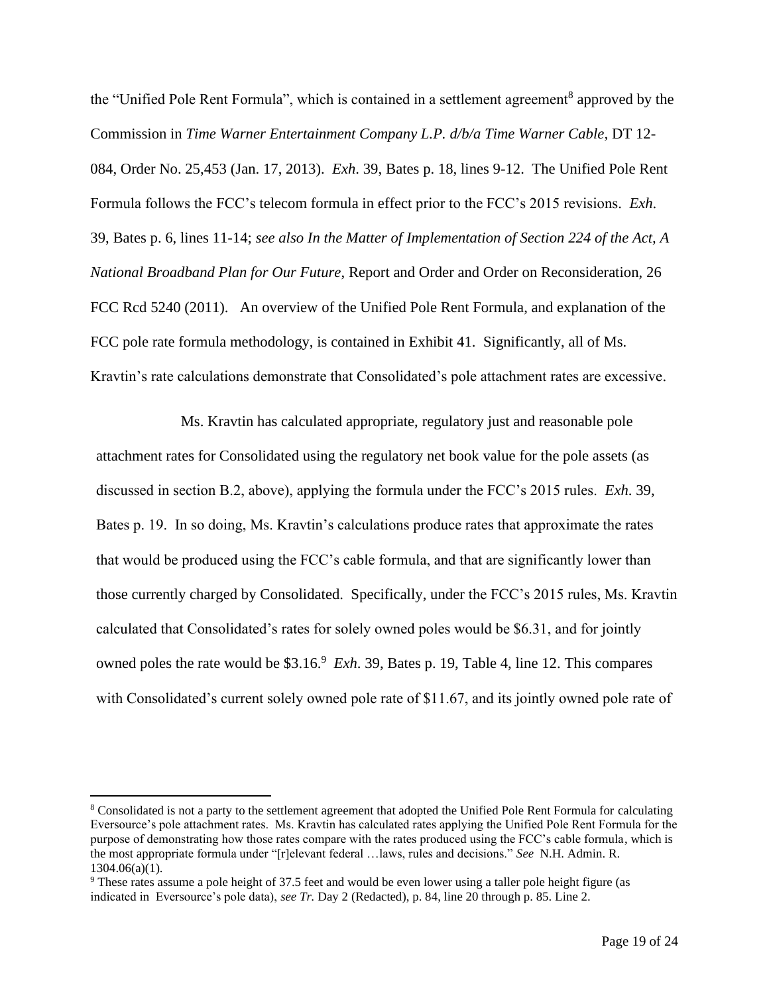the "Unified Pole Rent Formula", which is contained in a settlement agreement<sup>8</sup> approved by the Commission in *Time Warner Entertainment Company L.P. d/b/a Time Warner Cable,* DT 12- 084, Order No. 25,453 (Jan. 17, 2013). *Exh*. 39, Bates p. 18, lines 9-12. The Unified Pole Rent Formula follows the FCC's telecom formula in effect prior to the FCC's 2015 revisions. *Exh*. 39, Bates p. 6, lines 11-14; *see also In the Matter of Implementation of Section 224 of the Act, A National Broadband Plan for Our Future*, Report and Order and Order on Reconsideration, 26 FCC Rcd 5240 (2011). An overview of the Unified Pole Rent Formula, and explanation of the FCC pole rate formula methodology, is contained in Exhibit 41. Significantly, all of Ms. Kravtin's rate calculations demonstrate that Consolidated's pole attachment rates are excessive.

Ms. Kravtin has calculated appropriate, regulatory just and reasonable pole attachment rates for Consolidated using the regulatory net book value for the pole assets (as discussed in section B.2, above), applying the formula under the FCC's 2015 rules. *Exh*. 39, Bates p. 19. In so doing, Ms. Kravtin's calculations produce rates that approximate the rates that would be produced using the FCC's cable formula, and that are significantly lower than those currently charged by Consolidated. Specifically, under the FCC's 2015 rules, Ms. Kravtin calculated that Consolidated's rates for solely owned poles would be \$6.31, and for jointly owned poles the rate would be \$3.16<sup>9</sup> *Exh.* 39, Bates p. 19, Table 4, line 12. This compares with Consolidated's current solely owned pole rate of \$11.67, and its jointly owned pole rate of

<sup>8</sup> Consolidated is not a party to the settlement agreement that adopted the Unified Pole Rent Formula for calculating Eversource's pole attachment rates. Ms. Kravtin has calculated rates applying the Unified Pole Rent Formula for the purpose of demonstrating how those rates compare with the rates produced using the FCC's cable formula, which is the most appropriate formula under "[r]elevant federal …laws, rules and decisions." *See* N.H. Admin. R.  $1304.06(a)(1)$ .

<sup>9</sup> These rates assume a pole height of 37.5 feet and would be even lower using a taller pole height figure (as indicated in Eversource's pole data), *see Tr.* Day 2 (Redacted), p. 84, line 20 through p. 85. Line 2.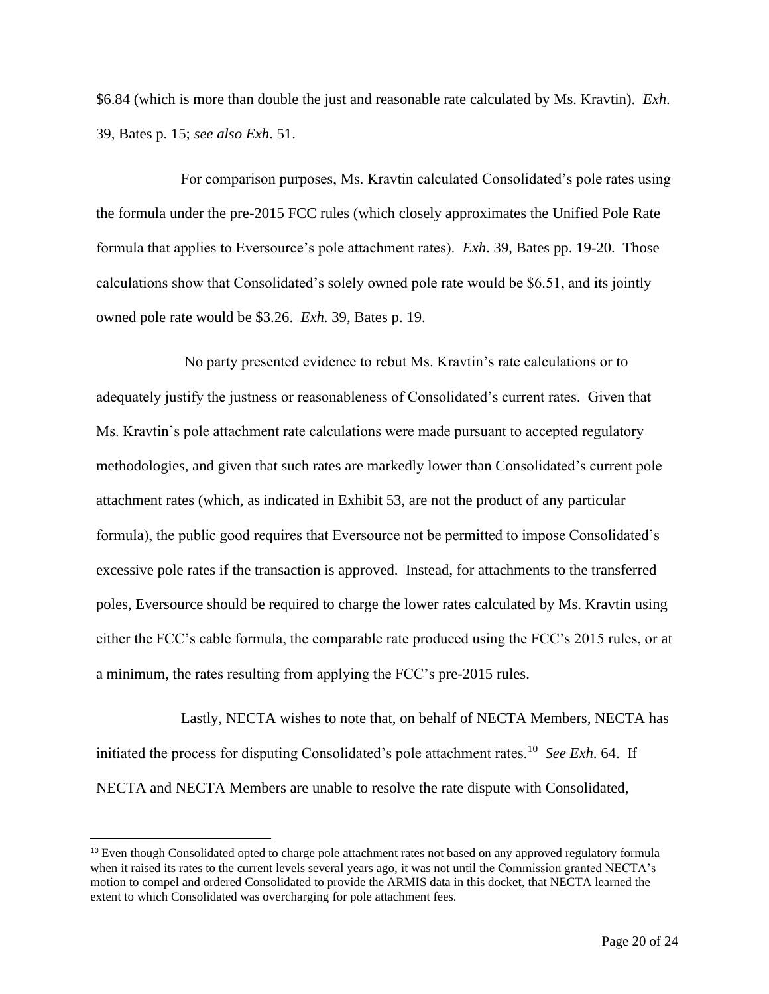\$6.84 (which is more than double the just and reasonable rate calculated by Ms. Kravtin). *Exh*. 39, Bates p. 15; *see also Exh*. 51.

For comparison purposes, Ms. Kravtin calculated Consolidated's pole rates using the formula under the pre-2015 FCC rules (which closely approximates the Unified Pole Rate formula that applies to Eversource's pole attachment rates). *Exh*. 39, Bates pp. 19-20. Those calculations show that Consolidated's solely owned pole rate would be \$6.51, and its jointly owned pole rate would be \$3.26. *Exh*. 39, Bates p. 19.

No party presented evidence to rebut Ms. Kravtin's rate calculations or to adequately justify the justness or reasonableness of Consolidated's current rates. Given that Ms. Kravtin's pole attachment rate calculations were made pursuant to accepted regulatory methodologies, and given that such rates are markedly lower than Consolidated's current pole attachment rates (which, as indicated in Exhibit 53, are not the product of any particular formula), the public good requires that Eversource not be permitted to impose Consolidated's excessive pole rates if the transaction is approved. Instead, for attachments to the transferred poles, Eversource should be required to charge the lower rates calculated by Ms. Kravtin using either the FCC's cable formula, the comparable rate produced using the FCC's 2015 rules, or at a minimum, the rates resulting from applying the FCC's pre-2015 rules.

Lastly, NECTA wishes to note that, on behalf of NECTA Members, NECTA has initiated the process for disputing Consolidated's pole attachment rates.<sup>10</sup> *See Exh*. 64. If NECTA and NECTA Members are unable to resolve the rate dispute with Consolidated,

<sup>&</sup>lt;sup>10</sup> Even though Consolidated opted to charge pole attachment rates not based on any approved regulatory formula when it raised its rates to the current levels several years ago, it was not until the Commission granted NECTA's motion to compel and ordered Consolidated to provide the ARMIS data in this docket, that NECTA learned the extent to which Consolidated was overcharging for pole attachment fees.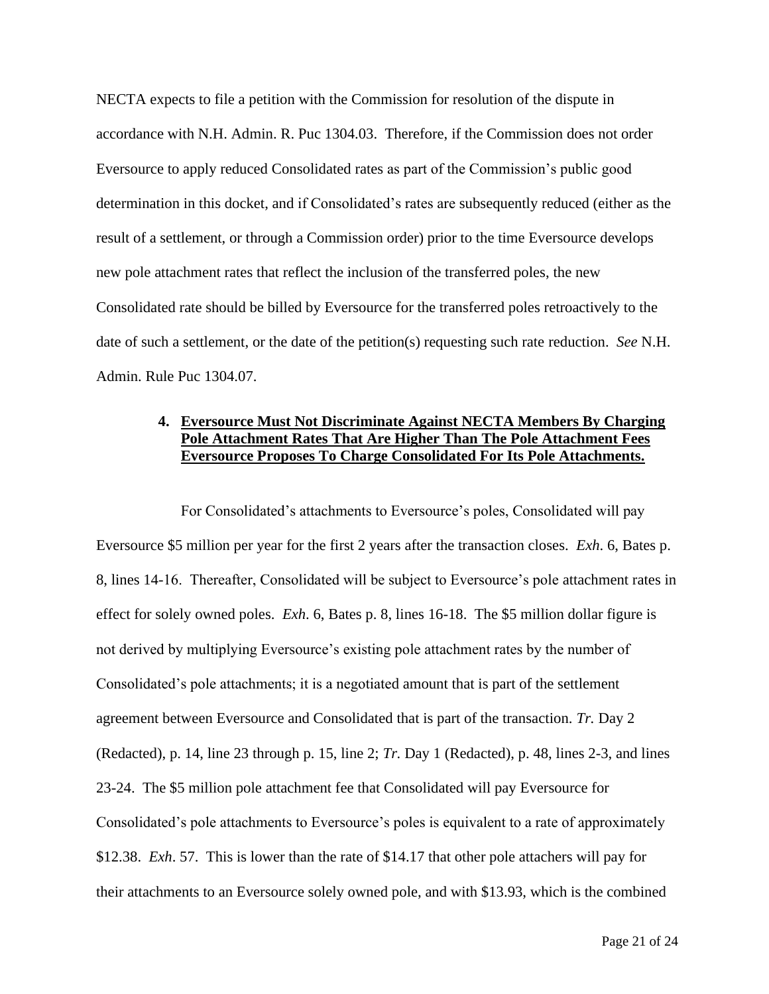NECTA expects to file a petition with the Commission for resolution of the dispute in accordance with N.H. Admin. R. Puc 1304.03. Therefore, if the Commission does not order Eversource to apply reduced Consolidated rates as part of the Commission's public good determination in this docket, and if Consolidated's rates are subsequently reduced (either as the result of a settlement, or through a Commission order) prior to the time Eversource develops new pole attachment rates that reflect the inclusion of the transferred poles, the new Consolidated rate should be billed by Eversource for the transferred poles retroactively to the date of such a settlement, or the date of the petition(s) requesting such rate reduction. *See* N.H. Admin. Rule Puc 1304.07.

# **4. Eversource Must Not Discriminate Against NECTA Members By Charging Pole Attachment Rates That Are Higher Than The Pole Attachment Fees Eversource Proposes To Charge Consolidated For Its Pole Attachments.**

For Consolidated's attachments to Eversource's poles, Consolidated will pay Eversource \$5 million per year for the first 2 years after the transaction closes. *Exh*. 6, Bates p. 8, lines 14-16. Thereafter, Consolidated will be subject to Eversource's pole attachment rates in effect for solely owned poles. *Exh*. 6, Bates p. 8, lines 16-18. The \$5 million dollar figure is not derived by multiplying Eversource's existing pole attachment rates by the number of Consolidated's pole attachments; it is a negotiated amount that is part of the settlement agreement between Eversource and Consolidated that is part of the transaction. *Tr.* Day 2 (Redacted), p. 14, line 23 through p. 15, line 2; *Tr.* Day 1 (Redacted), p. 48, lines 2-3, and lines 23-24. The \$5 million pole attachment fee that Consolidated will pay Eversource for Consolidated's pole attachments to Eversource's poles is equivalent to a rate of approximately \$12.38. *Exh*. 57. This is lower than the rate of \$14.17 that other pole attachers will pay for their attachments to an Eversource solely owned pole, and with \$13.93, which is the combined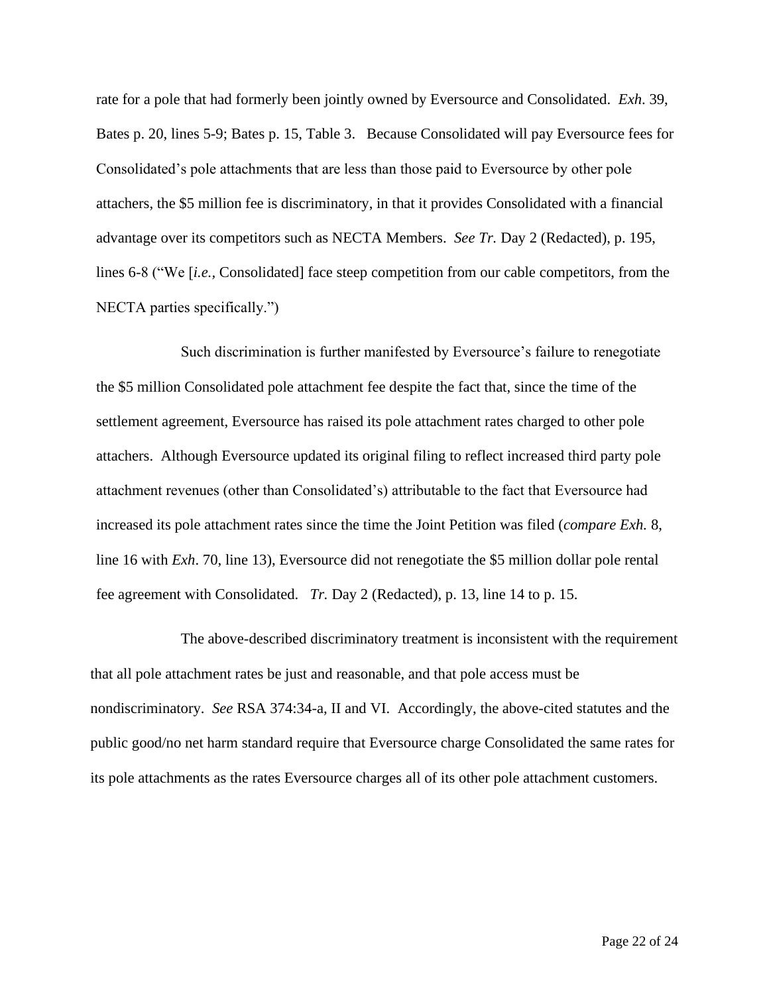rate for a pole that had formerly been jointly owned by Eversource and Consolidated. *Exh*. 39, Bates p. 20, lines 5-9; Bates p. 15, Table 3. Because Consolidated will pay Eversource fees for Consolidated's pole attachments that are less than those paid to Eversource by other pole attachers, the \$5 million fee is discriminatory, in that it provides Consolidated with a financial advantage over its competitors such as NECTA Members. *See Tr.* Day 2 (Redacted), p. 195, lines 6-8 ("We [*i.e.,* Consolidated] face steep competition from our cable competitors, from the NECTA parties specifically.")

Such discrimination is further manifested by Eversource's failure to renegotiate the \$5 million Consolidated pole attachment fee despite the fact that, since the time of the settlement agreement, Eversource has raised its pole attachment rates charged to other pole attachers. Although Eversource updated its original filing to reflect increased third party pole attachment revenues (other than Consolidated's) attributable to the fact that Eversource had increased its pole attachment rates since the time the Joint Petition was filed (*compare Exh.* 8, line 16 with *Exh*. 70, line 13), Eversource did not renegotiate the \$5 million dollar pole rental fee agreement with Consolidated. *Tr.* Day 2 (Redacted), p. 13, line 14 to p. 15.

The above-described discriminatory treatment is inconsistent with the requirement that all pole attachment rates be just and reasonable, and that pole access must be nondiscriminatory. *See* RSA 374:34-a, II and VI. Accordingly, the above-cited statutes and the public good/no net harm standard require that Eversource charge Consolidated the same rates for its pole attachments as the rates Eversource charges all of its other pole attachment customers.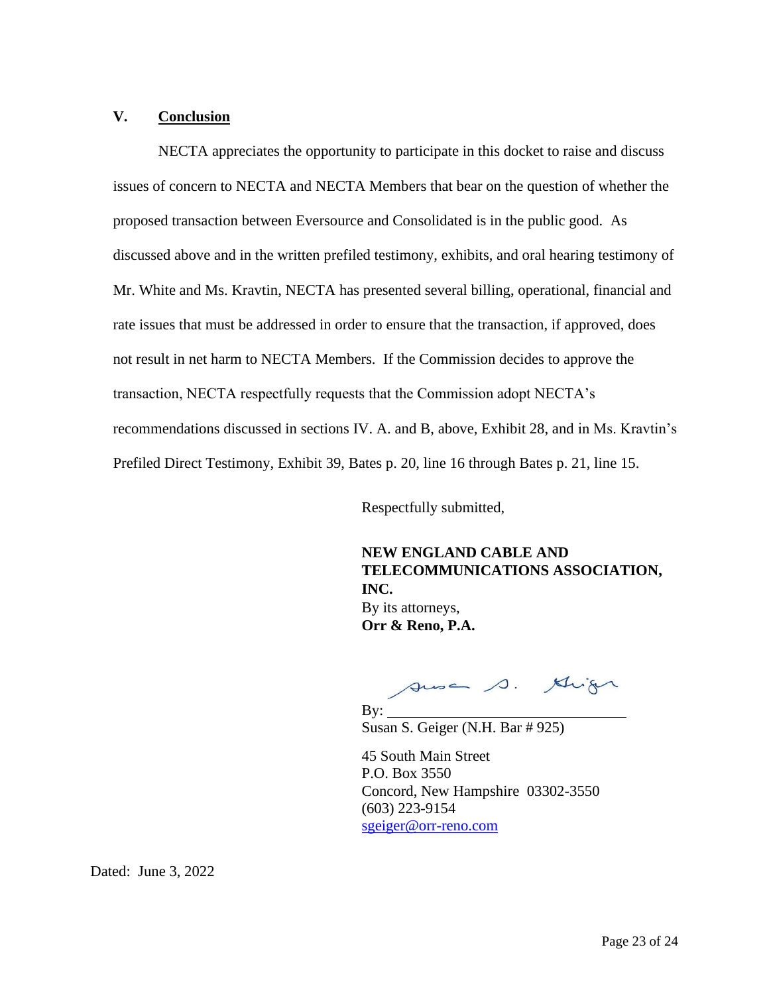#### **V. Conclusion**

NECTA appreciates the opportunity to participate in this docket to raise and discuss issues of concern to NECTA and NECTA Members that bear on the question of whether the proposed transaction between Eversource and Consolidated is in the public good. As discussed above and in the written prefiled testimony, exhibits, and oral hearing testimony of Mr. White and Ms. Kravtin, NECTA has presented several billing, operational, financial and rate issues that must be addressed in order to ensure that the transaction, if approved, does not result in net harm to NECTA Members. If the Commission decides to approve the transaction, NECTA respectfully requests that the Commission adopt NECTA's recommendations discussed in sections IV. A. and B, above, Exhibit 28, and in Ms. Kravtin's Prefiled Direct Testimony, Exhibit 39, Bates p. 20, line 16 through Bates p. 21, line 15.

Respectfully submitted,

**NEW ENGLAND CABLE AND TELECOMMUNICATIONS ASSOCIATION, INC.** By its attorneys, **Orr & Reno, P.A.**

susa s. Mign

By: Susan S. Geiger (N.H. Bar # 925)

45 South Main Street P.O. Box 3550 Concord, New Hampshire 03302-3550 (603) 223-9154 sgeiger@orr-reno.com

Dated: June 3, 2022